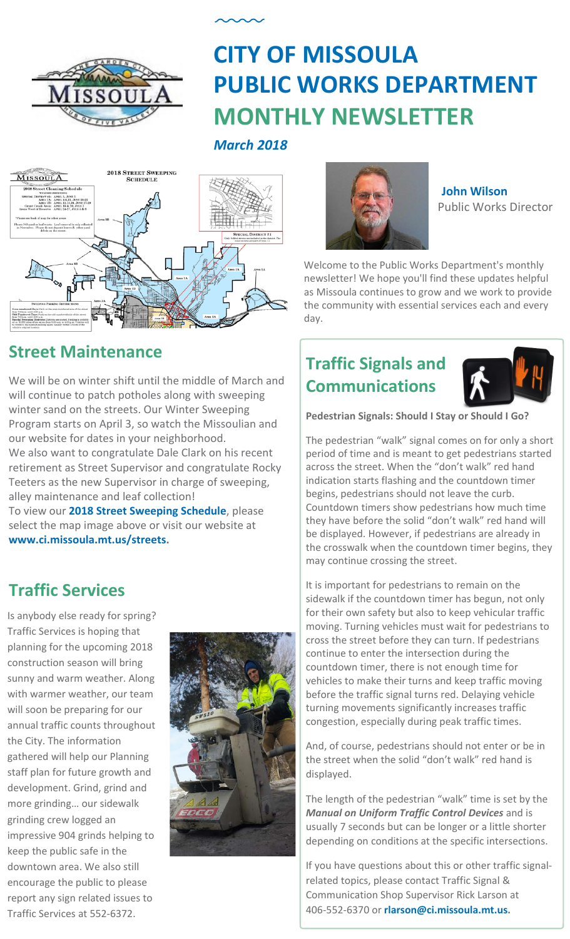

# **CITY OF MISSOULA PUBLIC WORKS DEPARTMENT MONTHLY NEWSLETTER**

*March 2018*



**[John Wilson](mailto:jwilson@ci.missoula.mt.us)** Public Works Director

Welcome to the Public Works Department's monthly newsletter! We hope you'll find these updates helpful as Missoula continues to grow and we work to provide the community with essential services each and every day.

## **Street Maintenance**

We will be on winter shift until the middle of March and will continue to patch potholes along with sweeping winter sand on the streets. Our Winter Sweeping Program starts on April 3, so watch the Missoulian and our website for dates in your neighborhood. We also want to congratulate Dale Clark on his recent retirement as Street Supervisor and congratulate Rocky Teeters as the new Supervisor in charge of sweeping, alley maintenance and leaf collection!

To view our **[2018 Street Sweeping Schedule](http://www.ci.missoula.mt.us/DocumentCenter/View/773)**, please select the map image above or visit our website at **[www.ci.missoula.mt.us/streets.](http://www.ci.missoula.mt.us/streets)**

## **Traffic Services**

Is anybody else ready for spring? Traffic Services is hoping that planning for the upcoming 2018 construction season will bring sunny and warm weather. Along with warmer weather, our team will soon be preparing for our annual traffic counts throughout the City. The information gathered will help our Planning staff plan for future growth and development. Grind, grind and more grinding… our sidewalk grinding crew logged an impressive 904 grinds helping to keep the public safe in the downtown area. We also still encourage the public to please report any sign related issues to Traffic Services at 552-6372.



## **Traffic Signals and Communications**



**Pedestrian Signals: Should I Stay or Should I Go?**

The pedestrian "walk" signal comes on for only a short period of time and is meant to get pedestrians started across the street. When the "don't walk" red hand indication starts flashing and the countdown timer begins, pedestrians should not leave the curb. Countdown timers show pedestrians how much time they have before the solid "don't walk" red hand will be displayed. However, if pedestrians are already in the crosswalk when the countdown timer begins, they may continue crossing the street.

It is important for pedestrians to remain on the sidewalk if the countdown timer has begun, not only for their own safety but also to keep vehicular traffic moving. Turning vehicles must wait for pedestrians to cross the street before they can turn. If pedestrians continue to enter the intersection during the countdown timer, there is not enough time for vehicles to make their turns and keep traffic moving before the traffic signal turns red. Delaying vehicle turning movements significantly increases traffic congestion, especially during peak traffic times.

And, of course, pedestrians should not enter or be in the street when the solid "don't walk" red hand is displayed.

The length of the pedestrian "walk" time is set by the *Manual on Uniform Traffic Control Devices* and is usually 7 seconds but can be longer or a little shorter depending on conditions at the specific intersections.

If you have questions about this or other traffic signalrelated topics, please contact Traffic Signal & Communication Shop Supervisor Rick Larson at 406-552-6370 or **[rlarson@ci.missoula.mt.us.](mailto:rlarson@ci.missoula.mt.us)**